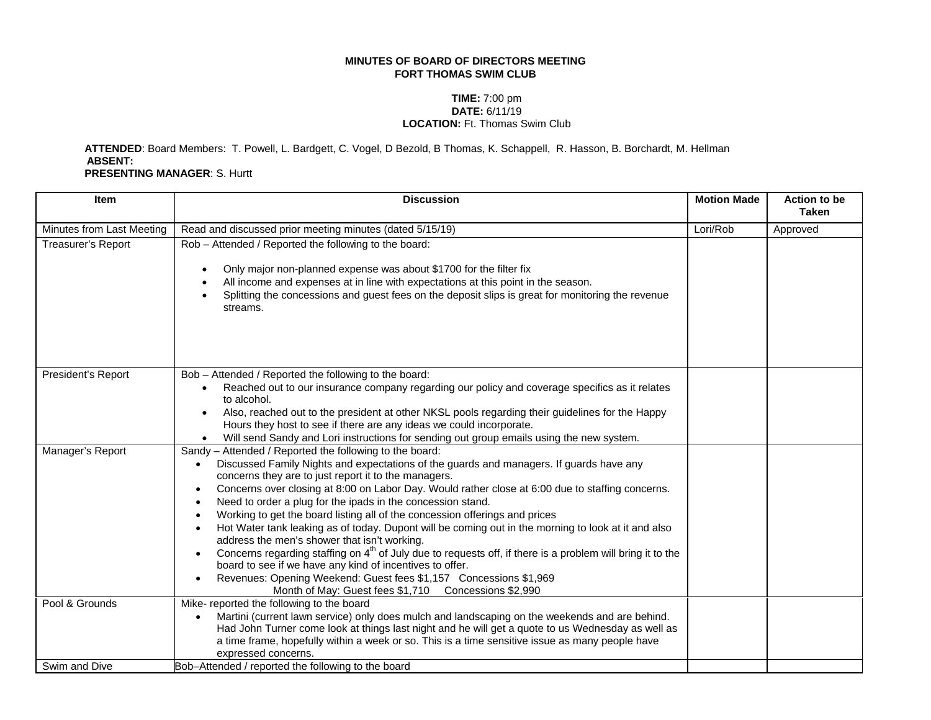## **MINUTES OF BOARD OF DIRECTORS MEETING FORT THOMAS SWIM CLUB**

## **TIME:** 7:00 pm **DATE:** 6/11/19 **LOCATION:** Ft. Thomas Swim Club

 **ATTENDED**: Board Members: T. Powell, L. Bardgett, C. Vogel, D Bezold, B Thomas, K. Schappell, R. Hasson, B. Borchardt, M. Hellman **ABSENT: PRESENTING MANAGER**: S. Hurtt

| Item                            | <b>Discussion</b>                                                                                                                                                                                                                                                                                                                                                                                                                                                                                                                                                                                                                                                                                                                                                                                                                                                                                                                                      | <b>Motion Made</b> | <b>Action to be</b><br><b>Taken</b> |
|---------------------------------|--------------------------------------------------------------------------------------------------------------------------------------------------------------------------------------------------------------------------------------------------------------------------------------------------------------------------------------------------------------------------------------------------------------------------------------------------------------------------------------------------------------------------------------------------------------------------------------------------------------------------------------------------------------------------------------------------------------------------------------------------------------------------------------------------------------------------------------------------------------------------------------------------------------------------------------------------------|--------------------|-------------------------------------|
| Minutes from Last Meeting       | Read and discussed prior meeting minutes (dated 5/15/19)                                                                                                                                                                                                                                                                                                                                                                                                                                                                                                                                                                                                                                                                                                                                                                                                                                                                                               | Lori/Rob           | Approved                            |
| Treasurer's Report              | Rob - Attended / Reported the following to the board:<br>Only major non-planned expense was about \$1700 for the filter fix<br>$\bullet$<br>All income and expenses at in line with expectations at this point in the season.<br>$\bullet$<br>Splitting the concessions and guest fees on the deposit slips is great for monitoring the revenue<br>streams.                                                                                                                                                                                                                                                                                                                                                                                                                                                                                                                                                                                            |                    |                                     |
| President's Report              | Bob - Attended / Reported the following to the board:<br>Reached out to our insurance company regarding our policy and coverage specifics as it relates<br>to alcohol.<br>Also, reached out to the president at other NKSL pools regarding their guidelines for the Happy<br>$\bullet$<br>Hours they host to see if there are any ideas we could incorporate.<br>Will send Sandy and Lori instructions for sending out group emails using the new system.<br>$\bullet$                                                                                                                                                                                                                                                                                                                                                                                                                                                                                 |                    |                                     |
| Manager's Report                | Sandy - Attended / Reported the following to the board:<br>Discussed Family Nights and expectations of the guards and managers. If guards have any<br>$\bullet$<br>concerns they are to just report it to the managers.<br>Concerns over closing at 8:00 on Labor Day. Would rather close at 6:00 due to staffing concerns.<br>$\bullet$<br>Need to order a plug for the ipads in the concession stand.<br>Working to get the board listing all of the concession offerings and prices<br>Hot Water tank leaking as of today. Dupont will be coming out in the morning to look at it and also<br>address the men's shower that isn't working.<br>Concerns regarding staffing on $4th$ of July due to requests off, if there is a problem will bring it to the<br>board to see if we have any kind of incentives to offer.<br>Revenues: Opening Weekend: Guest fees \$1,157 Concessions \$1,969<br>Month of May: Guest fees \$1,710 Concessions \$2,990 |                    |                                     |
| Pool & Grounds<br>Swim and Dive | Mike- reported the following to the board<br>Martini (current lawn service) only does mulch and landscaping on the weekends and are behind.<br>Had John Turner come look at things last night and he will get a quote to us Wednesday as well as<br>a time frame, hopefully within a week or so. This is a time sensitive issue as many people have<br>expressed concerns.<br>Bob-Attended / reported the following to the board                                                                                                                                                                                                                                                                                                                                                                                                                                                                                                                       |                    |                                     |
|                                 |                                                                                                                                                                                                                                                                                                                                                                                                                                                                                                                                                                                                                                                                                                                                                                                                                                                                                                                                                        |                    |                                     |